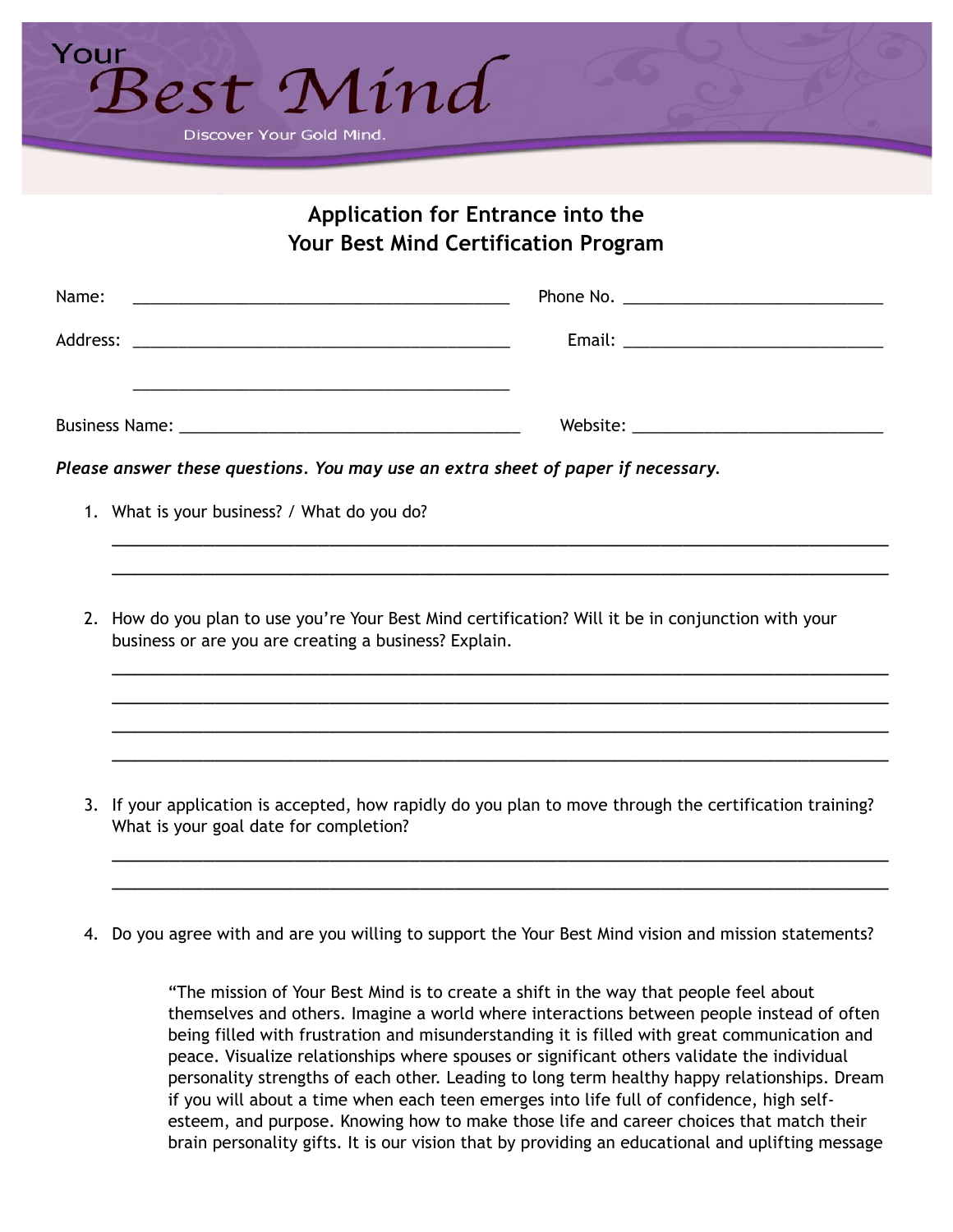

## **Application for Entrance into the Your Best Mind Certification Program**

| <u> 1989 - Johann Harry Barn, mars and deutscher Stadt and deutscher Stadt and deutscher Stadt and deutscher Stadt</u>                                      |                                                                                                      |  |
|-------------------------------------------------------------------------------------------------------------------------------------------------------------|------------------------------------------------------------------------------------------------------|--|
|                                                                                                                                                             | Please answer these questions. You may use an extra sheet of paper if necessary.                     |  |
| 1. What is your business? / What do you do?                                                                                                                 |                                                                                                      |  |
| 2. How do you plan to use you're Your Best Mind certification? Will it be in conjunction with your<br>business or are you are creating a business? Explain. |                                                                                                      |  |
|                                                                                                                                                             |                                                                                                      |  |
|                                                                                                                                                             | If your application is accepted, how rapidly do you plan to move through the certification training? |  |

If your application is accepted, how rapidly do you plan to move through the certification training? What is your goal date for completion?

\_\_\_\_\_\_\_\_\_\_\_\_\_\_\_\_\_\_\_\_\_\_\_\_\_\_\_\_\_\_\_\_\_\_\_\_\_\_\_\_\_\_\_\_\_\_\_\_\_\_\_\_\_\_\_\_\_\_\_\_\_\_\_\_\_\_\_\_ \_\_\_\_\_\_\_\_\_\_\_\_\_\_\_\_\_\_\_\_\_\_\_\_\_\_\_\_\_\_\_\_\_\_\_\_\_\_\_\_\_\_\_\_\_\_\_\_\_\_\_\_\_\_\_\_\_\_\_\_\_\_\_\_\_\_\_\_

4. Do you agree with and are you willing to support the Your Best Mind vision and mission statements?

"The mission of Your Best Mind is to create a shift in the way that people feel about themselves and others. Imagine a world where interactions between people instead of often being filled with frustration and misunderstanding it is filled with great communication and peace. Visualize relationships where spouses or significant others validate the individual personality strengths of each other. Leading to long term healthy happy relationships. Dream if you will about a time when each teen emerges into life full of confidence, high selfesteem, and purpose. Knowing how to make those life and career choices that match their brain personality gifts. It is our vision that by providing an educational and uplifting message